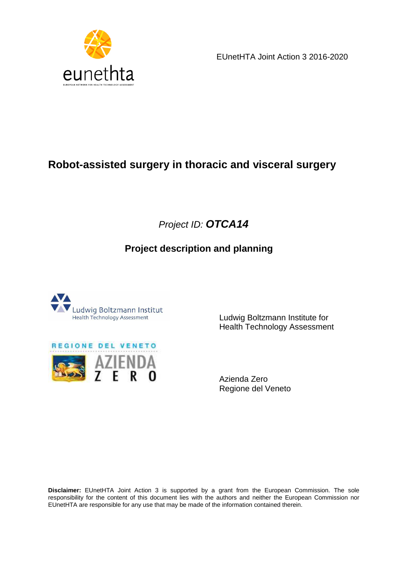

EUnetHTA Joint Action 3 2016-2020

# **Robot-assisted surgery in thoracic and visceral surgery**

# Project ID: **OTCA14**

# **Project description and planning**





 Ludwig Boltzmann Institute for Health Technology Assessment

 Azienda Zero Regione del Veneto

**Disclaimer:** EUnetHTA Joint Action 3 is supported by a grant from the European Commission. The sole responsibility for the content of this document lies with the authors and neither the European Commission nor EUnetHTA are responsible for any use that may be made of the information contained therein.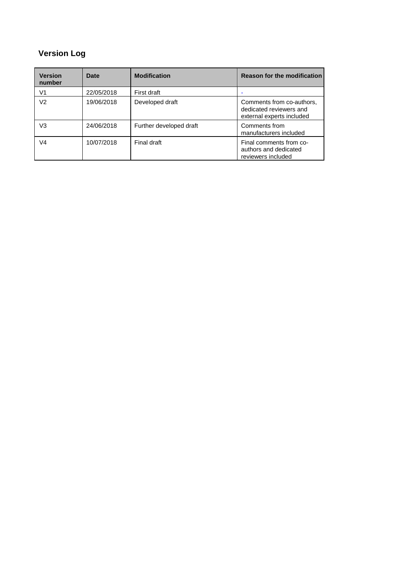# **Version Log**

| <b>Version</b><br>number | Date       | <b>Modification</b>     | <b>Reason for the modification</b>                                                |
|--------------------------|------------|-------------------------|-----------------------------------------------------------------------------------|
| V1                       | 22/05/2018 | First draft             |                                                                                   |
| V2                       | 19/06/2018 | Developed draft         | Comments from co-authors,<br>dedicated reviewers and<br>external experts included |
| V3                       | 24/06/2018 | Further developed draft | Comments from<br>manufacturers included                                           |
| V4                       | 10/07/2018 | Final draft             | Final comments from co-<br>authors and dedicated<br>reviewers included            |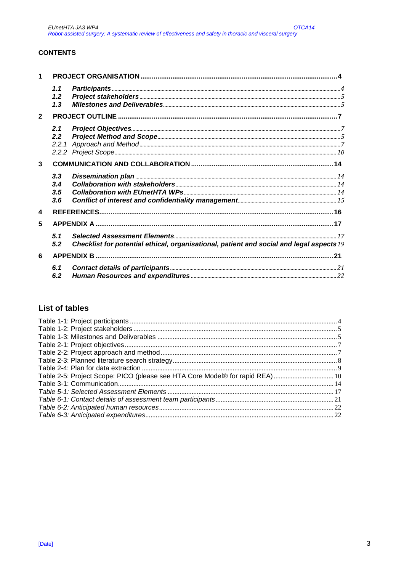### **CONTENTS**

| 1                |       |                                                                                         |  |
|------------------|-------|-----------------------------------------------------------------------------------------|--|
|                  | 1.1   |                                                                                         |  |
|                  | 1.2   |                                                                                         |  |
|                  | 1.3   |                                                                                         |  |
| $\overline{2}$   |       |                                                                                         |  |
|                  | 2.1   |                                                                                         |  |
|                  | 2.2   |                                                                                         |  |
|                  | 2.2.1 |                                                                                         |  |
|                  |       |                                                                                         |  |
| 3                |       |                                                                                         |  |
|                  | 3.3   |                                                                                         |  |
|                  | 3.4   |                                                                                         |  |
|                  | 3.5   |                                                                                         |  |
|                  | 3.6   |                                                                                         |  |
| $\blacktriangle$ |       |                                                                                         |  |
| 5                |       |                                                                                         |  |
|                  | 5.1   |                                                                                         |  |
|                  | 5.2   | Checklist for potential ethical, organisational, patient and social and legal aspects19 |  |
| 6                |       |                                                                                         |  |
|                  | 6.1   |                                                                                         |  |
|                  | 6.2   |                                                                                         |  |

## **List of tables**

| Table 2-5: Project Scope: PICO (please see HTA Core Model® for rapid REA)  10 |  |
|-------------------------------------------------------------------------------|--|
|                                                                               |  |
|                                                                               |  |
|                                                                               |  |
|                                                                               |  |
|                                                                               |  |
|                                                                               |  |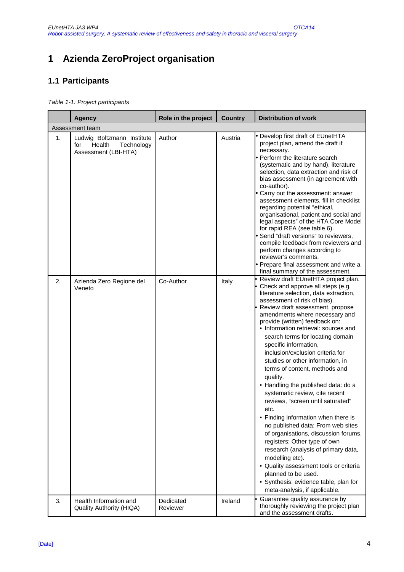# **1 Azienda ZeroProject organisation**

# **1.1 Participants**

Table 1-1: Project participants

|    | <b>Agency</b>                                                                     | Role in the project   | <b>Country</b> | <b>Distribution of work</b>                                                                                                                                                                                                                                                                                                                                                                                                                                                                                                                                                                                                                                                                                                                                                                                                                                                                                                                                         |  |  |  |
|----|-----------------------------------------------------------------------------------|-----------------------|----------------|---------------------------------------------------------------------------------------------------------------------------------------------------------------------------------------------------------------------------------------------------------------------------------------------------------------------------------------------------------------------------------------------------------------------------------------------------------------------------------------------------------------------------------------------------------------------------------------------------------------------------------------------------------------------------------------------------------------------------------------------------------------------------------------------------------------------------------------------------------------------------------------------------------------------------------------------------------------------|--|--|--|
|    | Assessment team                                                                   |                       |                |                                                                                                                                                                                                                                                                                                                                                                                                                                                                                                                                                                                                                                                                                                                                                                                                                                                                                                                                                                     |  |  |  |
| 1. | Ludwig Boltzmann Institute<br>Technology<br>for<br>Health<br>Assessment (LBI-HTA) | Author                | Austria        | Develop first draft of EUnetHTA<br>project plan, amend the draft if<br>necessary.<br>Perform the literature search<br>(systematic and by hand), literature<br>selection, data extraction and risk of<br>bias assessment (in agreement with<br>co-author).<br>Carry out the assessment: answer<br>assessment elements, fill in checklist<br>regarding potential "ethical,<br>organisational, patient and social and<br>legal aspects" of the HTA Core Model<br>for rapid REA (see table 6).<br>Send "draft versions" to reviewers,<br>compile feedback from reviewers and<br>perform changes according to<br>reviewer's comments.<br>Prepare final assessment and write a<br>final summary of the assessment.                                                                                                                                                                                                                                                        |  |  |  |
| 2. | Azienda Zero Regione del<br>Veneto                                                | Co-Author             | Italy          | Review draft EUnetHTA project plan.<br>Check and approve all steps (e.g.<br>literature selection, data extraction,<br>assessment of risk of bias).<br>Review draft assessment, propose<br>amendments where necessary and<br>provide (written) feedback on:<br>• Information retrieval: sources and<br>search terms for locating domain<br>specific information,<br>inclusion/exclusion criteria for<br>studies or other information, in<br>terms of content, methods and<br>quality.<br>• Handling the published data: do a<br>systematic review, cite recent<br>reviews, "screen until saturated"<br>etc.<br>• Finding information when there is<br>no published data: From web sites<br>of organisations, discussion forums,<br>registers: Other type of own<br>research (analysis of primary data,<br>modelling etc).<br>· Quality assessment tools or criteria<br>planned to be used.<br>· Synthesis: evidence table, plan for<br>meta-analysis, if applicable. |  |  |  |
| 3. | Health Information and<br>Quality Authority (HIQA)                                | Dedicated<br>Reviewer | Ireland        | Guarantee quality assurance by<br>thoroughly reviewing the project plan<br>and the assessment drafts.                                                                                                                                                                                                                                                                                                                                                                                                                                                                                                                                                                                                                                                                                                                                                                                                                                                               |  |  |  |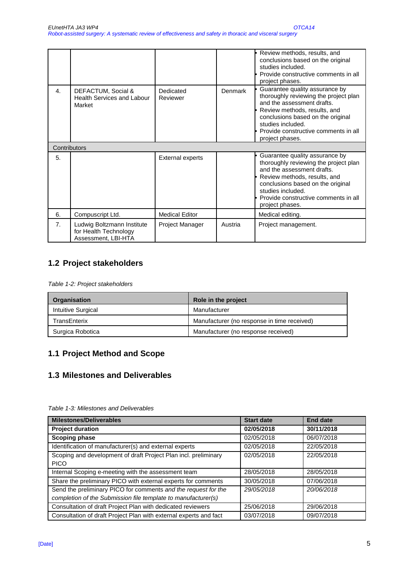|                |                                                                            |                         |         | Review methods, results, and<br>conclusions based on the original<br>studies included.<br>Provide constructive comments in all<br>project phases.                                                                                                          |
|----------------|----------------------------------------------------------------------------|-------------------------|---------|------------------------------------------------------------------------------------------------------------------------------------------------------------------------------------------------------------------------------------------------------------|
| $\mathbf{4}$ . | DEFACTUM, Social &<br>Health Services and Labour<br>Market                 | Dedicated<br>Reviewer   | Denmark | Guarantee quality assurance by<br>thoroughly reviewing the project plan<br>and the assessment drafts.<br>Review methods, results, and<br>conclusions based on the original<br>studies included.<br>Provide constructive comments in all<br>project phases. |
| Contributors   |                                                                            |                         |         |                                                                                                                                                                                                                                                            |
| 5.             |                                                                            | <b>External experts</b> |         | Guarantee quality assurance by<br>thoroughly reviewing the project plan<br>and the assessment drafts.<br>Review methods, results, and<br>conclusions based on the original<br>studies included.<br>Provide constructive comments in all<br>project phases. |
| 6.             | Compuscript Ltd.                                                           | <b>Medical Editor</b>   |         | Medical editing.                                                                                                                                                                                                                                           |
| 7 <sub>1</sub> | Ludwig Boltzmann Institute<br>for Health Technology<br>Assessment, LBI-HTA | Project Manager         | Austria | Project management.                                                                                                                                                                                                                                        |

# **1.2 Project stakeholders**

Table 1-2: Project stakeholders

| <b>Organisation</b> | Role in the project                         |
|---------------------|---------------------------------------------|
| Intuitive Surgical  | Manufacturer                                |
| TransEnterix        | Manufacturer (no response in time received) |
| Surgica Robotica    | Manufacturer (no response received)         |

# **1.1 Project Method and Scope**

# **1.3 Milestones and Deliverables**

| <b>Milestones/Deliverables</b>                                                                                                  | <b>Start date</b> | <b>End date</b> |
|---------------------------------------------------------------------------------------------------------------------------------|-------------------|-----------------|
| <b>Project duration</b>                                                                                                         | 02/05/2018        | 30/11/2018      |
| <b>Scoping phase</b>                                                                                                            | 02/05/2018        | 06/07/2018      |
| Identification of manufacturer(s) and external experts                                                                          | 02/05/2018        | 22/05/2018      |
| Scoping and development of draft Project Plan incl. preliminary<br><b>PICO</b>                                                  | 02/05/2018        | 22/05/2018      |
| Internal Scoping e-meeting with the assessment team                                                                             | 28/05/2018        | 28/05/2018      |
| Share the preliminary PICO with external experts for comments                                                                   | 30/05/2018        | 07/06/2018      |
| Send the preliminary PICO for comments and the request for the<br>completion of the Submission file template to manufacturer(s) | 29/05/2018        | 20/06/2018      |
| Consultation of draft Project Plan with dedicated reviewers                                                                     | 25/06/2018        | 29/06/2018      |
| Consultation of draft Project Plan with external experts and fact                                                               | 03/07/2018        | 09/07/2018      |

Table 1-3: Milestones and Deliverables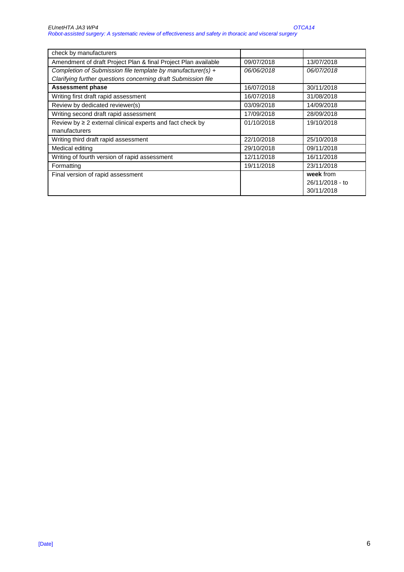| check by manufacturers                                         |            |                 |
|----------------------------------------------------------------|------------|-----------------|
| Amendment of draft Project Plan & final Project Plan available | 09/07/2018 | 13/07/2018      |
| Completion of Submission file template by manufacturer(s) +    | 06/06/2018 | 06/07/2018      |
| Clarifying further questions concerning draft Submission file  |            |                 |
| <b>Assessment phase</b>                                        | 16/07/2018 | 30/11/2018      |
| Writing first draft rapid assessment                           | 16/07/2018 | 31/08/2018      |
| Review by dedicated reviewer(s)                                | 03/09/2018 | 14/09/2018      |
| Writing second draft rapid assessment                          | 17/09/2018 | 28/09/2018      |
| Review by $\geq 2$ external clinical experts and fact check by | 01/10/2018 | 19/10/2018      |
| manufacturers                                                  |            |                 |
| Writing third draft rapid assessment                           | 22/10/2018 | 25/10/2018      |
| Medical editing                                                | 29/10/2018 | 09/11/2018      |
| Writing of fourth version of rapid assessment                  | 12/11/2018 | 16/11/2018      |
| Formatting                                                     | 19/11/2018 | 23/11/2018      |
| Final version of rapid assessment                              |            | week from       |
|                                                                |            | 26/11/2018 - to |
|                                                                |            | 30/11/2018      |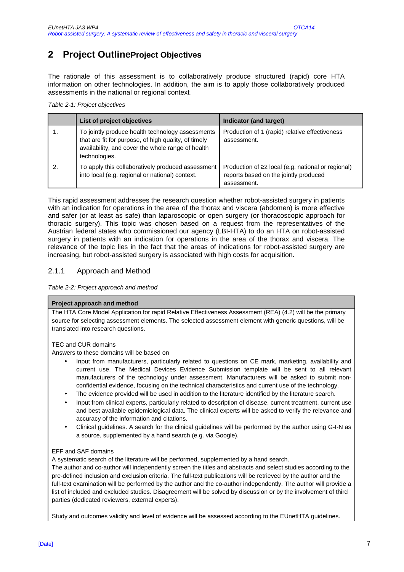# **2 Project OutlineProject Objectives**

The rationale of this assessment is to collaboratively produce structured (rapid) core HTA information on other technologies. In addition, the aim is to apply those collaboratively produced assessments in the national or regional context.

|  | Table 2-1: Project objectives |  |
|--|-------------------------------|--|
|  |                               |  |

| List of project objectives                                                                                                                                                     | Indicator (and target)                                                                                     |
|--------------------------------------------------------------------------------------------------------------------------------------------------------------------------------|------------------------------------------------------------------------------------------------------------|
| To jointly produce health technology assessments<br>that are fit for purpose, of high quality, of timely<br>availability, and cover the whole range of health<br>technologies. | Production of 1 (rapid) relative effectiveness<br>assessment.                                              |
| To apply this collaboratively produced assessment<br>into local (e.g. regional or national) context.                                                                           | Production of ≥2 local (e.g. national or regional)<br>reports based on the jointly produced<br>assessment. |

This rapid assessment addresses the research question whether robot-assisted surgery in patients with an indication for operations in the area of the thorax and viscera (abdomen) is more effective and safer (or at least as safe) than laparoscopic or open surgery (or thoracoscopic approach for thoracic surgery). This topic was chosen based on a request from the representatives of the Austrian federal states who commissioned our agency (LBI-HTA) to do an HTA on robot-assisted surgery in patients with an indication for operations in the area of the thorax and viscera. The relevance of the topic lies in the fact that the areas of indications for robot-assisted surgery are increasing, but robot-assisted surgery is associated with high costs for acquisition.

### 2.1.1 Approach and Method

Table 2-2: Project approach and method

#### **Project approach and method**

The HTA Core Model Application for rapid Relative Effectiveness Assessment (REA) (4.2) will be the primary source for selecting assessment elements. The selected assessment element with generic questions, will be translated into research questions.

#### TEC and CUR domains

Answers to these domains will be based on

- Input from manufacturers, particularly related to questions on CE mark, marketing, availability and current use. The Medical Devices Evidence Submission template will be sent to all relevant manufacturers of the technology under assessment. Manufacturers will be asked to submit nonconfidential evidence, focusing on the technical characteristics and current use of the technology.
- The evidence provided will be used in addition to the literature identified by the literature search.
- Input from clinical experts, particularly related to description of disease, current treatment, current use and best available epidemiological data. The clinical experts will be asked to verify the relevance and accuracy of the information and citations.
- Clinical guidelines. A search for the clinical guidelines will be performed by the author using G-I-N as a source, supplemented by a hand search (e.g. via Google).

#### EFF and SAF domains

A systematic search of the literature will be performed, supplemented by a hand search.

The author and co-author will independently screen the titles and abstracts and select studies according to the pre-defined inclusion and exclusion criteria. The full-text publications will be retrieved by the author and the full-text examination will be performed by the author and the co-author independently. The author will provide a list of included and excluded studies. Disagreement will be solved by discussion or by the involvement of third parties (dedicated reviewers, external experts).

Study and outcomes validity and level of evidence will be assessed according to the EUnetHTA guidelines.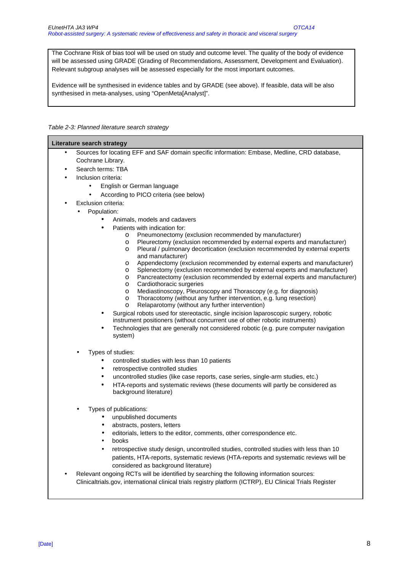The Cochrane Risk of bias tool will be used on study and outcome level. The quality of the body of evidence will be assessed using GRADE (Grading of Recommendations, Assessment, Development and Evaluation). Relevant subgroup analyses will be assessed especially for the most important outcomes.

Evidence will be synthesised in evidence tables and by GRADE (see above). If feasible, data will be also synthesised in meta-analyses, using "OpenMeta[Analyst]".

#### Table 2-3: Planned literature search strategy

|           | <b>Literature search strategy</b>                                                                                                                                                                    |  |  |
|-----------|------------------------------------------------------------------------------------------------------------------------------------------------------------------------------------------------------|--|--|
| $\bullet$ | Sources for locating EFF and SAF domain specific information: Embase, Medline, CRD database,                                                                                                         |  |  |
|           | Cochrane Library.                                                                                                                                                                                    |  |  |
|           | Search terms: TBA                                                                                                                                                                                    |  |  |
|           | Inclusion criteria:                                                                                                                                                                                  |  |  |
|           | English or German language<br>$\bullet$                                                                                                                                                              |  |  |
|           | According to PICO criteria (see below)                                                                                                                                                               |  |  |
|           | Exclusion criteria:                                                                                                                                                                                  |  |  |
|           | Population:                                                                                                                                                                                          |  |  |
|           | Animals, models and cadavers                                                                                                                                                                         |  |  |
|           | Patients with indication for:                                                                                                                                                                        |  |  |
|           | Pneumonectomy (exclusion recommended by manufacturer)<br>O                                                                                                                                           |  |  |
|           | Pleurectomy (exclusion recommended by external experts and manufacturer)<br>O<br>Pleural / pulmonary decortication (exclusion recommended by external experts<br>$\circ$                             |  |  |
|           | and manufacturer)                                                                                                                                                                                    |  |  |
|           | Appendectomy (exclusion recommended by external experts and manufacturer)<br>$\circ$                                                                                                                 |  |  |
|           | Splenectomy (exclusion recommended by external experts and manufacturer)<br>$\circ$                                                                                                                  |  |  |
|           | Pancreatectomy (exclusion recommended by external experts and manufacturer)<br>O<br>Cardiothoracic surgeries                                                                                         |  |  |
|           | O<br>Mediastinoscopy, Pleuroscopy and Thorascopy (e.g. for diagnosis)<br>O                                                                                                                           |  |  |
|           | Thoracotomy (without any further intervention, e.g. lung resection)<br>O                                                                                                                             |  |  |
|           | Relaparotomy (without any further intervention)<br>$\circ$                                                                                                                                           |  |  |
|           | Surgical robots used for stereotactic, single incision laparoscopic surgery, robotic                                                                                                                 |  |  |
|           | instrument positioners (without concurrent use of other robotic instruments)                                                                                                                         |  |  |
|           | Technologies that are generally not considered robotic (e.g. pure computer navigation<br>٠                                                                                                           |  |  |
|           | system)                                                                                                                                                                                              |  |  |
|           | Types of studies:                                                                                                                                                                                    |  |  |
|           | controlled studies with less than 10 patients                                                                                                                                                        |  |  |
|           | retrospective controlled studies<br>$\bullet$                                                                                                                                                        |  |  |
|           | uncontrolled studies (like case reports, case series, single-arm studies, etc.)<br>٠                                                                                                                 |  |  |
|           | HTA-reports and systematic reviews (these documents will partly be considered as<br>$\bullet$                                                                                                        |  |  |
|           | background literature)                                                                                                                                                                               |  |  |
|           |                                                                                                                                                                                                      |  |  |
|           | Types of publications:                                                                                                                                                                               |  |  |
|           | unpublished documents                                                                                                                                                                                |  |  |
|           | abstracts, posters, letters                                                                                                                                                                          |  |  |
|           | editorials, letters to the editor, comments, other correspondence etc.                                                                                                                               |  |  |
|           | books                                                                                                                                                                                                |  |  |
|           | retrospective study design, uncontrolled studies, controlled studies with less than 10                                                                                                               |  |  |
|           | patients, HTA-reports, systematic reviews (HTA-reports and systematic reviews will be                                                                                                                |  |  |
|           | considered as background literature)                                                                                                                                                                 |  |  |
|           | Relevant ongoing RCTs will be identified by searching the following information sources:<br>Clinicaltrials.gov, international clinical trials registry platform (ICTRP), EU Clinical Trials Register |  |  |
|           |                                                                                                                                                                                                      |  |  |
|           |                                                                                                                                                                                                      |  |  |
|           |                                                                                                                                                                                                      |  |  |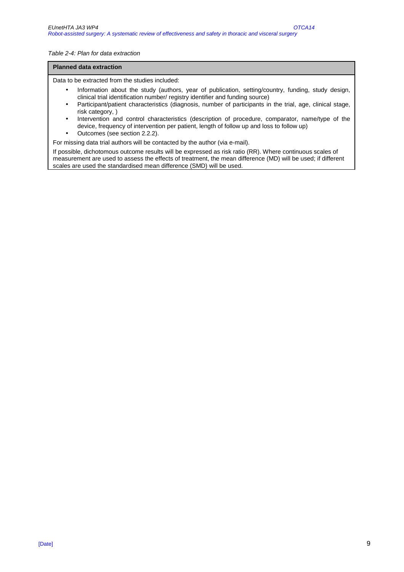#### Table 2-4: Plan for data extraction

#### **Planned data extraction**

Data to be extracted from the studies included:

- Information about the study (authors, year of publication, setting/country, funding, study design, clinical trial identification number/ registry identifier and funding source)
- Participant/patient characteristics (diagnosis, number of participants in the trial, age, clinical stage, risk category, )
- Intervention and control characteristics (description of procedure, comparator, name/type of the device, frequency of intervention per patient, length of follow up and loss to follow up)
- Outcomes (see section 2.2.2).

For missing data trial authors will be contacted by the author (via e-mail).

If possible, dichotomous outcome results will be expressed as risk ratio (RR). Where continuous scales of measurement are used to assess the effects of treatment, the mean difference (MD) will be used; if different scales are used the standardised mean difference (SMD) will be used.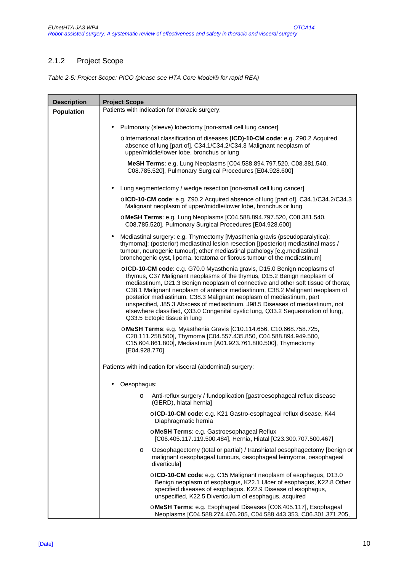## 2.1.2 Project Scope

Table 2-5: Project Scope: PICO (please see HTA Core Model® for rapid REA)

| <b>Description</b> | <b>Project Scope</b>                                                                                                                                                                                                                                                                                                                                                                                                                                                                                                                                                                                    |  |  |
|--------------------|---------------------------------------------------------------------------------------------------------------------------------------------------------------------------------------------------------------------------------------------------------------------------------------------------------------------------------------------------------------------------------------------------------------------------------------------------------------------------------------------------------------------------------------------------------------------------------------------------------|--|--|
| <b>Population</b>  | Patients with indication for thoracic surgery:                                                                                                                                                                                                                                                                                                                                                                                                                                                                                                                                                          |  |  |
|                    | Pulmonary (sleeve) lobectomy [non-small cell lung cancer]<br>$\bullet$                                                                                                                                                                                                                                                                                                                                                                                                                                                                                                                                  |  |  |
|                    | o International classification of diseases (ICD)-10-CM code: e.g. Z90.2 Acquired                                                                                                                                                                                                                                                                                                                                                                                                                                                                                                                        |  |  |
|                    | absence of lung [part of], C34.1/C34.2/C34.3 Malignant neoplasm of<br>upper/middle/lower lobe, bronchus or lung                                                                                                                                                                                                                                                                                                                                                                                                                                                                                         |  |  |
|                    | MeSH Terms: e.g. Lung Neoplasms [C04.588.894.797.520, C08.381.540,<br>C08.785.520], Pulmonary Surgical Procedures [E04.928.600]                                                                                                                                                                                                                                                                                                                                                                                                                                                                         |  |  |
|                    | Lung segmentectomy / wedge resection [non-small cell lung cancer]                                                                                                                                                                                                                                                                                                                                                                                                                                                                                                                                       |  |  |
|                    | olCD-10-CM code: e.g. Z90.2 Acquired absence of lung [part of], C34.1/C34.2/C34.3<br>Malignant neoplasm of upper/middle/lower lobe, bronchus or lung                                                                                                                                                                                                                                                                                                                                                                                                                                                    |  |  |
|                    | o MeSH Terms: e.g. Lung Neoplasms [C04.588.894.797.520, C08.381.540,<br>C08.785.520], Pulmonary Surgical Procedures [E04.928.600]                                                                                                                                                                                                                                                                                                                                                                                                                                                                       |  |  |
|                    | Mediastinal surgery: e.g. Thymectomy [Myasthenia gravis (pseudoparalytica);<br>$\bullet$<br>thymoma]; (posterior) mediastinal lesion resection [(posterior) mediastinal mass /<br>tumour, neurogenic tumour]; other mediastinal pathology [e.g.mediastinal<br>bronchogenic cyst, lipoma, teratoma or fibrous tumour of the mediastinum]                                                                                                                                                                                                                                                                 |  |  |
|                    | o ICD-10-CM code: e.g. G70.0 Myasthenia gravis, D15.0 Benign neoplasms of<br>thymus, C37 Malignant neoplasms of the thymus, D15.2 Benign neoplasm of<br>mediastinum, D21.3 Benign neoplasm of connective and other soft tissue of thorax,<br>C38.1 Malignant neoplasm of anterior mediastinum, C38.2 Malignant neoplasm of<br>posterior mediastinum, C38.3 Malignant neoplasm of mediastinum, part<br>unspecified, J85.3 Abscess of mediastinum, J98.5 Diseases of mediastinum, not<br>elsewhere classified, Q33.0 Congenital cystic lung, Q33.2 Sequestration of lung,<br>Q33.5 Ectopic tissue in lung |  |  |
|                    | o MeSH Terms: e.g. Myasthenia Gravis [C10.114.656, C10.668.758.725,<br>C20.111.258.500], Thymoma [C04.557.435.850, C04.588.894.949.500,<br>C15.604.861.800], Mediastinum [A01.923.761.800.500], Thymectomy<br>[E04.928.770]                                                                                                                                                                                                                                                                                                                                                                             |  |  |
|                    | Patients with indication for visceral (abdominal) surgery:                                                                                                                                                                                                                                                                                                                                                                                                                                                                                                                                              |  |  |
|                    | Oesophagus:                                                                                                                                                                                                                                                                                                                                                                                                                                                                                                                                                                                             |  |  |
|                    | Anti-reflux surgery / fundoplication [gastroesophageal reflux disease<br>$\circ$<br>(GERD), hiatal hernia]                                                                                                                                                                                                                                                                                                                                                                                                                                                                                              |  |  |
|                    | o ICD-10-CM code: e.g. K21 Gastro-esophageal reflux disease, K44<br>Diaphragmatic hernia                                                                                                                                                                                                                                                                                                                                                                                                                                                                                                                |  |  |
|                    | o MeSH Terms: e.g. Gastroesophageal Reflux<br>[C06.405.117.119.500.484], Hernia, Hiatal [C23.300.707.500.467]                                                                                                                                                                                                                                                                                                                                                                                                                                                                                           |  |  |
|                    | Oesophagectomy (total or partial) / transhiatal oesophagectomy [benign or<br>$\circ$<br>malignant oesophageal tumours, oesophageal leimyoma, oesophageal<br>diverticula]                                                                                                                                                                                                                                                                                                                                                                                                                                |  |  |
|                    | o ICD-10-CM code: e.g. C15 Malignant neoplasm of esophagus, D13.0<br>Benign neoplasm of esophagus, K22.1 Ulcer of esophagus, K22.8 Other<br>specified diseases of esophagus. K22.9 Disease of esophagus,<br>unspecified, K22.5 Diverticulum of esophagus, acquired                                                                                                                                                                                                                                                                                                                                      |  |  |
|                    | o MeSH Terms: e.g. Esophageal Diseases [C06.405.117], Esophageal<br>Neoplasms [C04.588.274.476.205, C04.588.443.353, C06.301.371.205,                                                                                                                                                                                                                                                                                                                                                                                                                                                                   |  |  |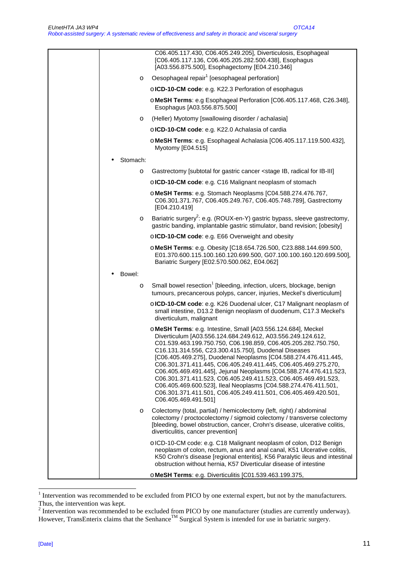|          | C06.405.117.430, C06.405.249.205], Diverticulosis, Esophageal<br>[C06.405.117.136, C06.405.205.282.500.438], Esophagus<br>[A03.556.875.500], Esophagectomy [E04.210.346]                                                                                                                                                                                                                                                                                                                                                                                                                                                                                                                        |
|----------|-------------------------------------------------------------------------------------------------------------------------------------------------------------------------------------------------------------------------------------------------------------------------------------------------------------------------------------------------------------------------------------------------------------------------------------------------------------------------------------------------------------------------------------------------------------------------------------------------------------------------------------------------------------------------------------------------|
| $\circ$  | Oesophageal repair <sup>1</sup> [oesophageal perforation]                                                                                                                                                                                                                                                                                                                                                                                                                                                                                                                                                                                                                                       |
|          | o ICD-10-CM code: e.g. K22.3 Perforation of esophagus                                                                                                                                                                                                                                                                                                                                                                                                                                                                                                                                                                                                                                           |
|          | o MeSH Terms: e.g Esophageal Perforation [C06.405.117.468, C26.348],<br>Esophagus [A03.556.875.500]                                                                                                                                                                                                                                                                                                                                                                                                                                                                                                                                                                                             |
| O        | (Heller) Myotomy [swallowing disorder / achalasia]                                                                                                                                                                                                                                                                                                                                                                                                                                                                                                                                                                                                                                              |
|          | o ICD-10-CM code: e.g. K22.0 Achalasia of cardia                                                                                                                                                                                                                                                                                                                                                                                                                                                                                                                                                                                                                                                |
|          | o MeSH Terms: e.g. Esophageal Achalasia [C06.405.117.119.500.432],<br>Myotomy [E04.515]                                                                                                                                                                                                                                                                                                                                                                                                                                                                                                                                                                                                         |
| Stomach: |                                                                                                                                                                                                                                                                                                                                                                                                                                                                                                                                                                                                                                                                                                 |
| O        | Gastrectomy [subtotal for gastric cancer <stage for="" ib,="" ib-iii]<="" radical="" td=""></stage>                                                                                                                                                                                                                                                                                                                                                                                                                                                                                                                                                                                             |
|          | o ICD-10-CM code: e.g. C16 Malignant neoplasm of stomach                                                                                                                                                                                                                                                                                                                                                                                                                                                                                                                                                                                                                                        |
|          | o MeSH Terms: e.g. Stomach Neoplasms [C04.588.274.476.767,<br>C06.301.371.767, C06.405.249.767, C06.405.748.789], Gastrectomy<br>[E04.210.419]                                                                                                                                                                                                                                                                                                                                                                                                                                                                                                                                                  |
| O        | Bariatric surgery <sup>2</sup> : e.g. (ROUX-en-Y) gastric bypass, sleeve gastrectomy,<br>gastric banding, implantable gastric stimulator, band revision; [obesity]                                                                                                                                                                                                                                                                                                                                                                                                                                                                                                                              |
|          | o ICD-10-CM code: e.g. E66 Overweight and obesity                                                                                                                                                                                                                                                                                                                                                                                                                                                                                                                                                                                                                                               |
|          | o MeSH Terms: e.g. Obesity [C18.654.726.500, C23.888.144.699.500,<br>E01.370.600.115.100.160.120.699.500, G07.100.100.160.120.699.500],<br>Bariatric Surgery [E02.570.500.062, E04.062]                                                                                                                                                                                                                                                                                                                                                                                                                                                                                                         |
| Bowel:   |                                                                                                                                                                                                                                                                                                                                                                                                                                                                                                                                                                                                                                                                                                 |
| O        | Small bowel resection <sup>1</sup> [bleeding, infection, ulcers, blockage, benign<br>tumours, precancerous polyps, cancer, injuries, Meckel's diverticulum]                                                                                                                                                                                                                                                                                                                                                                                                                                                                                                                                     |
|          | o ICD-10-CM code: e.g. K26 Duodenal ulcer, C17 Malignant neoplasm of<br>small intestine, D13.2 Benign neoplasm of duodenum, C17.3 Meckel's<br>diverticulum, malignant                                                                                                                                                                                                                                                                                                                                                                                                                                                                                                                           |
|          | o MeSH Terms: e.g. Intestine, Small [A03.556.124.684], Meckel<br>Diverticulum [A03.556.124.684.249.612, A03.556.249.124.612,<br>C01.539.463.199.750.750, C06.198.859, C06.405.205.282.750.750,<br>C16.131.314.556, C23.300.415.750], Duodenal Diseases<br>[C06.405.469.275], Duodenal Neoplasms [C04.588.274.476.411.445,<br>C06.301.371.411.445, C06.405.249.411.445, C06.405.469.275.270,<br>C06.405.469.491.445], Jejunal Neoplasms [C04.588.274.476.411.523,<br>C06.301.371.411.523, C06.405.249.411.523, C06.405.469.491.523,<br>C06.405.469.600.523], Ileal Neoplasms [C04.588.274.476.411.501,<br>C06.301.371.411.501, C06.405.249.411.501, C06.405.469.420.501,<br>C06.405.469.491.501] |
| O        | Colectomy (total, partial) / hemicolectomy (left, right) / abdominal<br>colectomy / proctocolectomy / sigmoid colectomy / transverse colectomy<br>[bleeding, bowel obstruction, cancer, Crohn's disease, ulcerative colitis,<br>diverticulitis, cancer prevention]                                                                                                                                                                                                                                                                                                                                                                                                                              |
|          |                                                                                                                                                                                                                                                                                                                                                                                                                                                                                                                                                                                                                                                                                                 |
|          | o ICD-10-CM code: e.g. C18 Malignant neoplasm of colon, D12 Benign<br>neoplasm of colon, rectum, anus and anal canal, K51 Ulcerative colitis,<br>K50 Crohn's disease [regional enteritis], K56 Paralytic ileus and intestinal<br>obstruction without hernia, K57 Diverticular disease of intestine                                                                                                                                                                                                                                                                                                                                                                                              |

<sup>|&</sup>lt;br>|<br>| Intervention was recommended to be excluded from PICO by one external expert, but not by the manufacturers.

Thus, the intervention was kept.<br><sup>2</sup> Intervention was recommended to be excluded from PICO by one manufacturer (studies are currently underway). However, TransEnterix claims that the Senhance<sup>TM</sup> Surgical System is intended for use in bariatric surgery.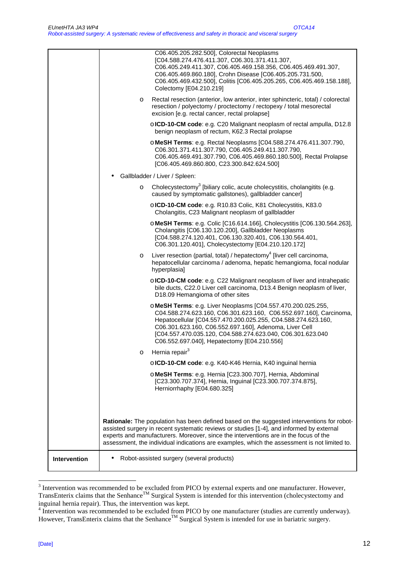|              |         | C06.405.205.282.500], Colorectal Neoplasms<br>[C04.588.274.476.411.307, C06.301.371.411.307,<br>C06.405.249.411.307, C06.405.469.158.356, C06.405.469.491.307,<br>C06.405.469.860.180], Crohn Disease [C06.405.205.731.500,<br>C06.405.469.432.500], Colitis [C06.405.205.265, C06.405.469.158.188],<br>Colectomy [E04.210.219]                                                |
|--------------|---------|--------------------------------------------------------------------------------------------------------------------------------------------------------------------------------------------------------------------------------------------------------------------------------------------------------------------------------------------------------------------------------|
|              | $\circ$ | Rectal resection (anterior, low anterior, inter sphincteric, total) / colorectal<br>resection / polyectomy / proctectomy / rectopexy / total mesorectal<br>excision [e.g. rectal cancer, rectal prolapse]                                                                                                                                                                      |
|              |         | o ICD-10-CM code: e.g. C20 Malignant neoplasm of rectal ampulla, D12.8<br>benign neoplasm of rectum, K62.3 Rectal prolapse                                                                                                                                                                                                                                                     |
|              |         | o MeSH Terms: e.g. Rectal Neoplasms [C04.588.274.476.411.307.790,<br>C06.301.371.411.307.790, C06.405.249.411.307.790,<br>C06.405.469.491.307.790, C06.405.469.860.180.500], Rectal Prolapse<br>[C06.405.469.860.800, C23.300.842.624.500]                                                                                                                                     |
|              |         | Gallbladder / Liver / Spleen:                                                                                                                                                                                                                                                                                                                                                  |
|              | $\circ$ | Cholecystectomy <sup>3</sup> [biliary colic, acute cholecystitis, cholangitits (e.g.<br>caused by symptomatic gallstones), gallbladder cancer]                                                                                                                                                                                                                                 |
|              |         | o ICD-10-CM code: e.g. R10.83 Colic, K81 Cholecystitis, K83.0<br>Cholangitis, C23 Malignant neoplasm of gallbladder                                                                                                                                                                                                                                                            |
|              |         | o MeSH Terms: e.g. Colic [C16.614.166], Cholecystitis [C06.130.564.263],<br>Cholangitis [C06.130.120.200], Gallbladder Neoplasms<br>[C04.588.274.120.401, C06.130.320.401, C06.130.564.401,<br>C06.301.120.401], Cholecystectomy [E04.210.120.172]                                                                                                                             |
|              | $\circ$ | Liver resection (partial, total) / hepatectomy <sup>4</sup> [liver cell carcinoma,<br>hepatocellular carcinoma / adenoma, hepatic hemangioma, focal nodular<br>hyperplasia]                                                                                                                                                                                                    |
|              |         | o ICD-10-CM code: e.g. C22 Malignant neoplasm of liver and intrahepatic<br>bile ducts, C22.0 Liver cell carcinoma, D13.4 Benign neoplasm of liver,<br>D18.09 Hemangioma of other sites                                                                                                                                                                                         |
|              |         | o MeSH Terms: e.g. Liver Neoplasms [C04.557.470.200.025.255,<br>C04.588.274.623.160, C06.301.623.160, C06.552.697.160], Carcinoma,<br>Hepatocellular [C04.557.470.200.025.255, C04.588.274.623.160,<br>C06.301.623.160, C06.552.697.160], Adenoma, Liver Cell<br>[C04.557.470.035.120, C04.588.274.623.040, C06.301.623.040<br>C06.552.697.040], Hepatectomy [E04.210.556]     |
|              | O       | Hernia repair <sup>3</sup>                                                                                                                                                                                                                                                                                                                                                     |
|              |         | o ICD-10-CM code: e.g. K40-K46 Hernia, K40 inguinal hernia                                                                                                                                                                                                                                                                                                                     |
|              |         | o MeSH Terms: e.g. Hernia [C23.300.707], Hernia, Abdominal<br>[C23.300.707.374], Hernia, Inguinal [C23.300.707.374.875],<br>Herniorrhaphy [E04.680.325]                                                                                                                                                                                                                        |
|              |         |                                                                                                                                                                                                                                                                                                                                                                                |
|              |         | Rationale: The population has been defined based on the suggested interventions for robot-<br>assisted surgery in recent systematic reviews or studies [1-4], and informed by external<br>experts and manufacturers. Moreover, since the interventions are in the focus of the<br>assessment, the individual indications are examples, which the assessment is not limited to. |
| Intervention |         | Robot-assisted surgery (several products)                                                                                                                                                                                                                                                                                                                                      |

<sup>&</sup>lt;sup>3</sup> Intervention was recommended to be excluded from PICO by external experts and one manufacturer. However, TransEnterix claims that the Senhance<sup>TM</sup> Surgical System is intended for this intervention (cholecystectomy and

inguinal hernia repair). Thus, the intervention was kept.<br><sup>4</sup> Intervention was recommended to be excluded from PICO by one manufacturer (studies are currently underway). However, TransEnterix claims that the Senhance<sup>TM</sup> Surgical System is intended for use in bariatric surgery.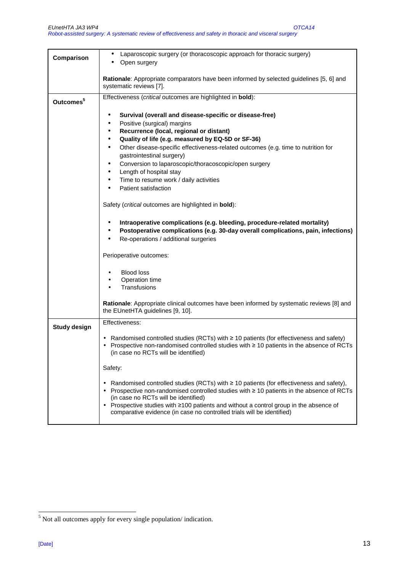| Comparison            | Laparoscopic surgery (or thoracoscopic approach for thoracic surgery)<br>Open surgery                                                                                                                                                                                                                                                                                                                        |  |  |  |  |
|-----------------------|--------------------------------------------------------------------------------------------------------------------------------------------------------------------------------------------------------------------------------------------------------------------------------------------------------------------------------------------------------------------------------------------------------------|--|--|--|--|
|                       |                                                                                                                                                                                                                                                                                                                                                                                                              |  |  |  |  |
|                       | Rationale: Appropriate comparators have been informed by selected guidelines [5, 6] and<br>systematic reviews [7].                                                                                                                                                                                                                                                                                           |  |  |  |  |
| Outcomes <sup>5</sup> | Effectiveness (critical outcomes are highlighted in bold):                                                                                                                                                                                                                                                                                                                                                   |  |  |  |  |
|                       | Survival (overall and disease-specific or disease-free)<br>٠                                                                                                                                                                                                                                                                                                                                                 |  |  |  |  |
|                       | Positive (surgical) margins<br>٠                                                                                                                                                                                                                                                                                                                                                                             |  |  |  |  |
|                       | Recurrence (local, regional or distant)<br>٠                                                                                                                                                                                                                                                                                                                                                                 |  |  |  |  |
|                       | Quality of life (e.g. measured by EQ-5D or SF-36)<br>$\bullet$<br>Other disease-specific effectiveness-related outcomes (e.g. time to nutrition for<br>$\bullet$                                                                                                                                                                                                                                             |  |  |  |  |
|                       | gastrointestinal surgery)                                                                                                                                                                                                                                                                                                                                                                                    |  |  |  |  |
|                       | Conversion to laparoscopic/thoracoscopic/open surgery<br>٠                                                                                                                                                                                                                                                                                                                                                   |  |  |  |  |
|                       | Length of hospital stay<br>$\bullet$<br>Time to resume work / daily activities<br>$\bullet$                                                                                                                                                                                                                                                                                                                  |  |  |  |  |
|                       | Patient satisfaction<br>$\bullet$                                                                                                                                                                                                                                                                                                                                                                            |  |  |  |  |
|                       | Safety (critical outcomes are highlighted in bold):                                                                                                                                                                                                                                                                                                                                                          |  |  |  |  |
|                       | Intraoperative complications (e.g. bleeding, procedure-related mortality)<br>Postoperative complications (e.g. 30-day overall complications, pain, infections)<br>$\bullet$<br>Re-operations / additional surgeries                                                                                                                                                                                          |  |  |  |  |
|                       | Perioperative outcomes:                                                                                                                                                                                                                                                                                                                                                                                      |  |  |  |  |
|                       | <b>Blood loss</b>                                                                                                                                                                                                                                                                                                                                                                                            |  |  |  |  |
|                       | Operation time<br>$\bullet$                                                                                                                                                                                                                                                                                                                                                                                  |  |  |  |  |
|                       | Transfusions<br>$\bullet$                                                                                                                                                                                                                                                                                                                                                                                    |  |  |  |  |
|                       | Rationale: Appropriate clinical outcomes have been informed by systematic reviews [8] and<br>the EUnetHTA guidelines [9, 10].                                                                                                                                                                                                                                                                                |  |  |  |  |
| <b>Study design</b>   | Effectiveness:                                                                                                                                                                                                                                                                                                                                                                                               |  |  |  |  |
|                       | • Randomised controlled studies (RCTs) with $\geq$ 10 patients (for effectiveness and safety)<br>• Prospective non-randomised controlled studies with $\geq 10$ patients in the absence of RCTs<br>(in case no RCTs will be identified)                                                                                                                                                                      |  |  |  |  |
|                       | Safety:                                                                                                                                                                                                                                                                                                                                                                                                      |  |  |  |  |
|                       | • Randomised controlled studies (RCTs) with $\geq$ 10 patients (for effectiveness and safety),<br>• Prospective non-randomised controlled studies with $\geq 10$ patients in the absence of RCTs<br>(in case no RCTs will be identified)<br>• Prospective studies with ≥100 patients and without a control group in the absence of<br>comparative evidence (in case no controlled trials will be identified) |  |  |  |  |

<sup>&</sup>lt;sup>5</sup> Not all outcomes apply for every single population/ indication.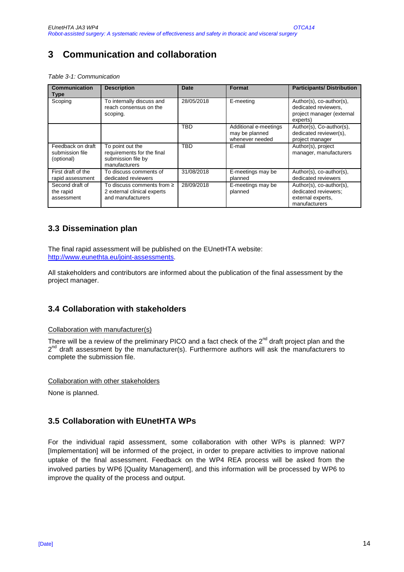# **3 Communication and collaboration**

Table 3-1: Communication

| <b>Communication</b><br>Type                       | <b>Description</b>                                                                    | Date       | Format                                                     | <b>Participants/Distribution</b>                                                          |
|----------------------------------------------------|---------------------------------------------------------------------------------------|------------|------------------------------------------------------------|-------------------------------------------------------------------------------------------|
| Scoping                                            | To internally discuss and<br>reach consensus on the<br>scoping.                       | 28/05/2018 | E-meeting                                                  | Author(s), co-author(s),<br>dedicated reviewers,<br>project manager (external<br>experts) |
|                                                    |                                                                                       | <b>TBD</b> | Additional e-meetings<br>may be planned<br>whenever needed | Author(s), Co-author(s),<br>dedicated reviewer(s),<br>project manager                     |
| Feedback on draft<br>submission file<br>(optional) | To point out the<br>requirements for the final<br>submission file by<br>manufacturers | <b>TBD</b> | E-mail                                                     | Author(s), project<br>manager, manufacturers                                              |
| First draft of the<br>rapid assessment             | To discuss comments of<br>dedicated reviewers                                         | 31/08/2018 | E-meetings may be<br>planned                               | Author(s), co-author(s),<br>dedicated reviewers                                           |
| Second draft of<br>the rapid<br>assessment         | To discuss comments from $\geq$<br>2 external clinical experts<br>and manufacturers   | 28/09/2018 | E-meetings may be<br>planned                               | Author(s), co-author(s),<br>dedicated reviewers:<br>external experts.<br>manufacturers    |

# **3.3 Dissemination plan**

The final rapid assessment will be published on the EUnetHTA website: http://www.eunethta.eu/joint-assessments.

All stakeholders and contributors are informed about the publication of the final assessment by the project manager.

## **3.4 Collaboration with stakeholders**

Collaboration with manufacturer(s)

There will be a review of the preliminary PICO and a fact check of the  $2^{nd}$  draft project plan and the 2<sup>nd</sup> draft assessment by the manufacturer(s). Furthermore authors will ask the manufacturers to complete the submission file.

Collaboration with other stakeholders

None is planned.

## **3.5 Collaboration with EUnetHTA WPs**

For the individual rapid assessment, some collaboration with other WPs is planned: WP7 [Implementation] will be informed of the project, in order to prepare activities to improve national uptake of the final assessment. Feedback on the WP4 REA process will be asked from the involved parties by WP6 [Quality Management], and this information will be processed by WP6 to improve the quality of the process and output.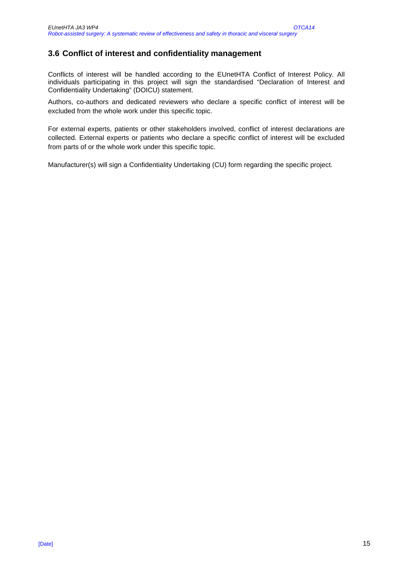## **3.6 Conflict of interest and confidentiality management**

Conflicts of interest will be handled according to the EUnetHTA Conflict of Interest Policy. All individuals participating in this project will sign the standardised "Declaration of Interest and Confidentiality Undertaking" (DOICU) statement.

Authors, co-authors and dedicated reviewers who declare a specific conflict of interest will be excluded from the whole work under this specific topic.

For external experts, patients or other stakeholders involved, conflict of interest declarations are collected. External experts or patients who declare a specific conflict of interest will be excluded from parts of or the whole work under this specific topic.

Manufacturer(s) will sign a Confidentiality Undertaking (CU) form regarding the specific project.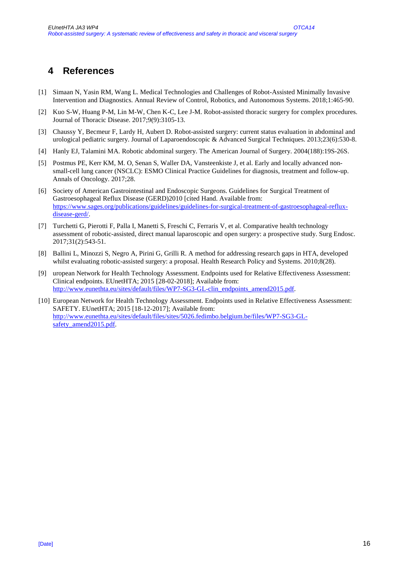# **4 References**

- [1] Simaan N, Yasin RM, Wang L. Medical Technologies and Challenges of Robot-Assisted Minimally Invasive Intervention and Diagnostics. Annual Review of Control, Robotics, and Autonomous Systems. 2018;1:465-90.
- [2] Kuo S-W, Huang P-M, Lin M-W, Chen K-C, Lee J-M. Robot-assisted thoracic surgery for complex procedures. Journal of Thoracic Disease. 2017;9(9):3105-13.
- [3] Chaussy Y, Becmeur F, Lardy H, Aubert D. Robot-assisted surgery: current status evaluation in abdominal and urological pediatric surgery. Journal of Laparoendoscopic & Advanced Surgical Techniques. 2013;23(6):530-8.
- [4] Hanly EJ, Talamini MA. Robotic abdominal surgery. The American Journal of Surgery. 2004(188):19S-26S.
- [5] Postmus PE, Kerr KM, M. O, Senan S, Waller DA, Vansteenkiste J, et al. Early and locally advanced nonsmall-cell lung cancer (NSCLC): ESMO Clinical Practice Guidelines for diagnosis, treatment and follow-up. Annals of Oncology. 2017;28.
- [6] Society of American Gastrointestinal and Endoscopic Surgeons. Guidelines for Surgical Treatment of Gastroesophageal Reflux Disease (GERD)2010 [cited Hand. Available from: https://www.sages.org/publications/guidelines/guidelines-for-surgical-treatment-of-gastroesophageal-refluxdisease-gerd/.
- [7] Turchetti G, Pierotti F, Palla I, Manetti S, Freschi C, Ferraris V, et al. Comparative health technology assessment of robotic-assisted, direct manual laparoscopic and open surgery: a prospective study. Surg Endosc. 2017;31(2):543-51.
- [8] Ballini L, Minozzi S, Negro A, Pirini G, Grilli R. A method for addressing research gaps in HTA, developed whilst evaluating robotic-assisted surgery: a proposal. Health Research Policy and Systems. 2010;8(28).
- [9] uropean Network for Health Technology Assessment. Endpoints used for Relative Effectiveness Assessment: Clinical endpoints. EUnetHTA; 2015 [28-02-2018]; Available from: http://www.eunethta.eu/sites/default/files/WP7-SG3-GL-clin\_endpoints\_amend2015.pdf.
- [10] European Network for Health Technology Assessment. Endpoints used in Relative Effectiveness Assessment: SAFETY. EUnetHTA; 2015 [18-12-2017]; Available from: http://www.eunethta.eu/sites/default/files/sites/5026.fedimbo.belgium.be/files/WP7-SG3-GLsafety\_amend2015.pdf.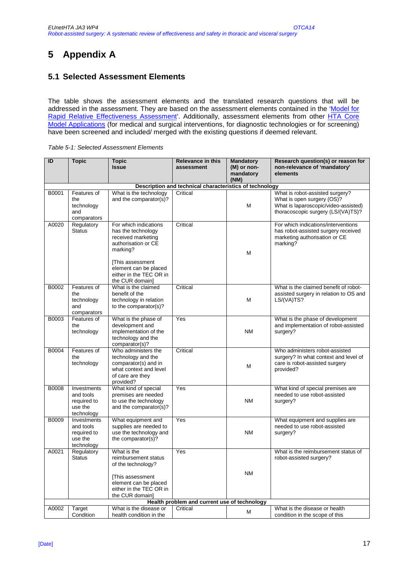# **5 Appendix A**

## **5.1 Selected Assessment Elements**

The table shows the assessment elements and the translated research questions that will be addressed in the assessment. They are based on the assessment elements contained in the 'Model for Rapid Relative Effectiveness Assessment'. Additionally, assessment elements from other HTA Core Model Applications (for medical and surgical interventions, for diagnostic technologies or for screening) have been screened and included/ merged with the existing questions if deemed relevant.

| ID    | <b>Topic</b>                                                     | <b>Topic</b><br><b>Issue</b>                                                                                                                                                                    | <b>Relevance in this</b><br>assessment                  | <b>Mandatory</b><br>(M) or non-<br>mandatory | Research question(s) or reason for<br>non-relevance of 'mandatory'<br>elements                                                              |
|-------|------------------------------------------------------------------|-------------------------------------------------------------------------------------------------------------------------------------------------------------------------------------------------|---------------------------------------------------------|----------------------------------------------|---------------------------------------------------------------------------------------------------------------------------------------------|
|       |                                                                  |                                                                                                                                                                                                 | Description and technical characteristics of technology | (NM)                                         |                                                                                                                                             |
| B0001 | Features of<br>the<br>technology<br>and<br>comparators           | What is the technology<br>and the comparator(s)?                                                                                                                                                | Critical                                                | M                                            | What is robot-assisted surgery?<br>What is open surgery (OS)?<br>What is laparoscopic/video-assisted)<br>thoracoscopic surgery (LS/(VA)TS)? |
| A0020 | Regulatory<br><b>Status</b>                                      | For which indications<br>has the technology<br>received marketing<br>authorisation or CE<br>marking?<br>[This assessment<br>element can be placed<br>either in the TEC OR in<br>the CUR domain] | Critical                                                | M                                            | For which indications/interventions<br>has robot-assisted surgery received<br>marketing authorisation or CE<br>marking?                     |
| B0002 | Features of<br>the<br>technology<br>and<br>comparators           | What is the claimed<br>benefit of the<br>technology in relation<br>to the comparator(s)?                                                                                                        | Critical                                                | M                                            | What is the claimed benefit of robot-<br>assisted surgery in relation to OS and<br>LS/(VA)TS?                                               |
| B0003 | Features of<br>the<br>technology                                 | What is the phase of<br>development and<br>implementation of the<br>technology and the<br>comparator(s)?                                                                                        | Yes                                                     | <b>NM</b>                                    | What is the phase of development<br>and implementation of robot-assisted<br>surgery?                                                        |
| B0004 | Features of<br>the<br>technology                                 | Who administers the<br>technology and the<br>comparator(s) and in<br>what context and level<br>of care are they<br>provided?                                                                    | Critical                                                | M                                            | Who administers robot-assisted<br>surgery? In what context and level of<br>care is robot-assisted surgery<br>provided?                      |
| B0008 | Investments<br>and tools<br>required to<br>use the<br>technology | What kind of special<br>premises are needed<br>to use the technology<br>and the comparator(s)?                                                                                                  | Yes                                                     | <b>NM</b>                                    | What kind of special premises are<br>needed to use robot-assisted<br>surgery?                                                               |
| B0009 | Investments<br>and tools<br>required to<br>use the<br>technology | What equipment and<br>supplies are needed to<br>use the technology and<br>the comparator(s)?                                                                                                    | Yes                                                     | <b>NM</b>                                    | What equipment and supplies are<br>needed to use robot-assisted<br>surgery?                                                                 |
| A0021 | Regulatory<br><b>Status</b>                                      | What is the<br>reimbursement status<br>of the technology?<br>[This assessment<br>element can be placed<br>either in the TEC OR in<br>the CUR domain]                                            | Yes                                                     | ΝM                                           | What is the reimbursement status of<br>robot-assisted surgery?                                                                              |
|       |                                                                  |                                                                                                                                                                                                 | Health problem and current use of technology            |                                              |                                                                                                                                             |
| A0002 | Target<br>Condition                                              | What is the disease or<br>health condition in the                                                                                                                                               | Critical                                                | M                                            | What is the disease or health<br>condition in the scope of this                                                                             |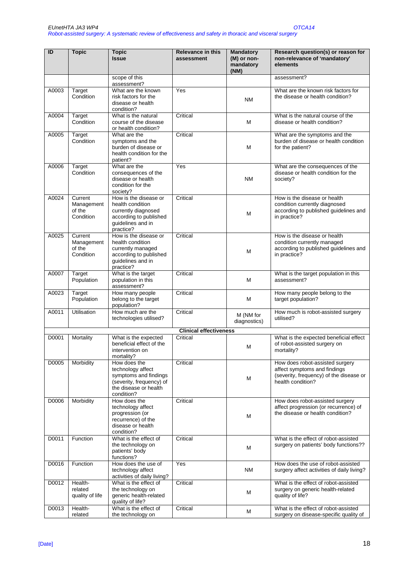| ID    | <b>Topic</b>               | <b>Topic</b>                                      | <b>Relevance in this</b>      | <b>Mandatory</b>         | Research question(s) or reason for                                        |
|-------|----------------------------|---------------------------------------------------|-------------------------------|--------------------------|---------------------------------------------------------------------------|
|       |                            | <b>Issue</b>                                      | assessment                    | (M) or non-<br>mandatory | non-relevance of 'mandatory'<br>elements                                  |
|       |                            |                                                   |                               | (NM)                     |                                                                           |
|       |                            | scope of this<br>assessment?                      |                               |                          | assessment?                                                               |
| A0003 | Target                     | What are the known                                | Yes                           |                          | What are the known risk factors for                                       |
|       | Condition                  | risk factors for the<br>disease or health         |                               | <b>NM</b>                | the disease or health condition?                                          |
|       |                            | condition?                                        |                               |                          |                                                                           |
| A0004 | Target                     | What is the natural                               | Critical                      |                          | What is the natural course of the                                         |
|       | Condition                  | course of the disease<br>or health condition?     |                               | м                        | disease or health condition?                                              |
| A0005 | <b>Target</b>              | What are the                                      | Critical                      |                          | What are the symptoms and the                                             |
|       | Condition                  | symptoms and the<br>burden of disease or          |                               | M                        | burden of disease or health condition<br>for the patient?                 |
|       |                            | health condition for the                          |                               |                          |                                                                           |
|       |                            | patient?                                          |                               |                          |                                                                           |
| A0006 | Target<br>Condition        | What are the<br>consequences of the               | Yes                           |                          | What are the consequences of the<br>disease or health condition for the   |
|       |                            | disease or health                                 |                               | <b>NM</b>                | society?                                                                  |
|       |                            | condition for the                                 |                               |                          |                                                                           |
| A0024 | Current                    | society?<br>How is the disease or                 | Critical                      |                          | How is the disease or health                                              |
|       | Management                 | health condition                                  |                               |                          | condition currently diagnosed                                             |
|       | of the<br>Condition        | currently diagnosed<br>according to published     |                               | М                        | according to published guidelines and<br>in practice?                     |
|       |                            | guidelines and in                                 |                               |                          |                                                                           |
| A0025 | Current                    | practice?<br>How is the disease or                | Critical                      |                          | How is the disease or health                                              |
|       | Management                 | health condition                                  |                               |                          | condition currently managed                                               |
|       | of the<br>Condition        | currently managed<br>according to published       |                               | М                        | according to published guidelines and<br>in practice?                     |
|       |                            | guidelines and in                                 |                               |                          |                                                                           |
|       |                            | practice?                                         |                               |                          |                                                                           |
| A0007 | Target<br>Population       | What is the target<br>population in this          | Critical                      | M                        | What is the target population in this<br>assessment?                      |
|       |                            | assessment?                                       |                               |                          |                                                                           |
| A0023 | Target<br>Population       | How many people<br>belong to the target           | Critical                      | М                        | How many people belong to the<br>target population?                       |
|       |                            | population?                                       |                               |                          |                                                                           |
| A0011 | Utilisation                | How much are the                                  | Critical                      | M (NM for                | How much is robot-assisted surgery<br>utilised?                           |
|       |                            | technologies utilised?                            |                               | diagnostics)             |                                                                           |
|       |                            |                                                   | <b>Clinical effectiveness</b> |                          |                                                                           |
| D0001 | Mortality                  | What is the expected<br>beneficial effect of the  | Critical                      |                          | What is the expected beneficial effect<br>of robot-assisted surgery on    |
|       |                            | intervention on                                   |                               | M                        | mortality?                                                                |
|       |                            | mortality?                                        |                               |                          |                                                                           |
| D0005 | Morbidity                  | How does the<br>technology affect                 | Critical                      |                          | How does robot-assisted surgery<br>affect symptoms and findings           |
|       |                            | symptoms and findings                             |                               | М                        | (severity, frequency) of the disease or                                   |
|       |                            | (severity, frequency) of<br>the disease or health |                               |                          | health condition?                                                         |
|       |                            | condition?                                        |                               |                          |                                                                           |
| D0006 | Morbidity                  | How does the                                      | Critical                      |                          | How does robot-assisted surgery                                           |
|       |                            | technology affect<br>progression (or              |                               |                          | affect progression (or recurrence) of<br>the disease or health condition? |
|       |                            | recurrence) of the                                |                               | M                        |                                                                           |
|       |                            | disease or health<br>condition?                   |                               |                          |                                                                           |
| D0011 | Function                   | What is the effect of                             | Critical                      |                          | What is the effect of robot-assisted                                      |
|       |                            | the technology on                                 |                               | M                        | surgery on patients' body functions??                                     |
|       |                            | patients' body<br>functions?                      |                               |                          |                                                                           |
| D0016 | Function                   | How does the use of                               | Yes                           |                          | How does the use of robot-assisted                                        |
|       |                            | technology affect<br>activities of daily living?  |                               | <b>NM</b>                | surgery affect activities of daily living?                                |
| D0012 | Health-                    | What is the effect of                             | Critical                      |                          | What is the effect of robot-assisted                                      |
|       | related<br>quality of life | the technology on<br>generic health-related       |                               | м                        | surgery on generic health-related<br>quality of life?                     |
|       |                            | quality of life?                                  |                               |                          |                                                                           |
| D0013 | Health-                    | What is the effect of                             | Critical                      | М                        | What is the effect of robot-assisted                                      |
|       | related                    | the technology on                                 |                               |                          | surgery on disease-specific quality of                                    |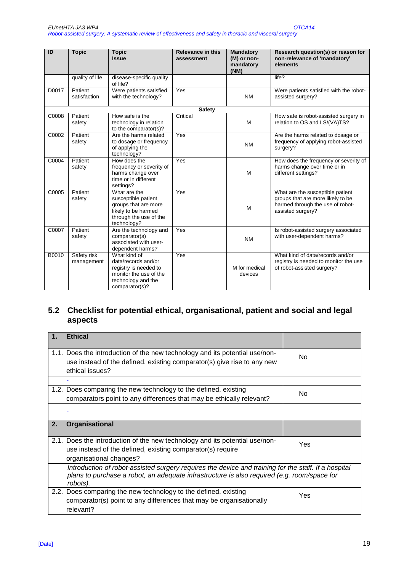| ID    | <b>Topic</b>              | <b>Topic</b><br><b>Issue</b>                                                                                                   | <b>Relevance in this</b><br>assessment | <b>Mandatory</b><br>(M) or non-<br>mandatory<br>(NM) | Research question(s) or reason for<br>non-relevance of 'mandatory'<br>elements                                                 |
|-------|---------------------------|--------------------------------------------------------------------------------------------------------------------------------|----------------------------------------|------------------------------------------------------|--------------------------------------------------------------------------------------------------------------------------------|
|       | quality of life           | disease-specific quality<br>of life?                                                                                           |                                        |                                                      | life?                                                                                                                          |
| D0017 | Patient<br>satisfaction   | Were patients satisfied<br>with the technology?                                                                                | Yes                                    | <b>NM</b>                                            | Were patients satisfied with the robot-<br>assisted surgery?                                                                   |
|       |                           |                                                                                                                                | <b>Safety</b>                          |                                                      |                                                                                                                                |
| C0008 | Patient<br>safety         | How safe is the<br>technology in relation<br>to the comparator(s)?                                                             | Critical                               | M                                                    | How safe is robot-assisted surgery in<br>relation to OS and LS/(VA)TS?                                                         |
| C0002 | Patient<br>safety         | Are the harms related<br>to dosage or frequency<br>of applying the<br>technology?                                              | Yes                                    | <b>NM</b>                                            | Are the harms related to dosage or<br>frequency of applying robot-assisted<br>surgery?                                         |
| C0004 | Patient<br>safety         | How does the<br>frequency or severity of<br>harms change over<br>time or in different<br>settings?                             | Yes                                    | M                                                    | How does the frequency or severity of<br>harms change over time or in<br>different settings?                                   |
| C0005 | Patient<br>safety         | What are the<br>susceptible patient<br>groups that are more<br>likely to be harmed<br>through the use of the<br>technology?    | Yes                                    | M                                                    | What are the susceptible patient<br>groups that are more likely to be<br>harmed through the use of robot-<br>assisted surgery? |
| C0007 | Patient<br>safety         | Are the technology and<br>comparator(s)<br>associated with user-<br>dependent harms?                                           | Yes                                    | <b>NM</b>                                            | Is robot-assisted surgery associated<br>with user-dependent harms?                                                             |
| B0010 | Safety risk<br>management | What kind of<br>data/records and/or<br>registry is needed to<br>monitor the use of the<br>technology and the<br>comparator(s)? | Yes                                    | M for medical<br>devices                             | What kind of data/records and/or<br>registry is needed to monitor the use<br>of robot-assisted surgery?                        |

# **5.2 Checklist for potential ethical, organisational, patient and social and legal aspects**

|    | <b>Ethical</b>                                                                                                                                                                                                  |                |
|----|-----------------------------------------------------------------------------------------------------------------------------------------------------------------------------------------------------------------|----------------|
|    | 1.1. Does the introduction of the new technology and its potential use/non-<br>use instead of the defined, existing comparator(s) give rise to any new<br>ethical issues?                                       | No.            |
|    |                                                                                                                                                                                                                 |                |
|    | 1.2. Does comparing the new technology to the defined, existing<br>comparators point to any differences that may be ethically relevant?                                                                         | N <sub>o</sub> |
|    |                                                                                                                                                                                                                 |                |
| 2. | <b>Organisational</b>                                                                                                                                                                                           |                |
|    | 2.1. Does the introduction of the new technology and its potential use/non-<br>use instead of the defined, existing comparator(s) require<br>organisational changes?                                            | Yes            |
|    | Introduction of robot-assisted surgery requires the device and training for the staff. If a hospital<br>plans to purchase a robot, an adequate infrastructure is also required (e.g. room/space for<br>robots). |                |
|    | 2.2. Does comparing the new technology to the defined, existing<br>comparator(s) point to any differences that may be organisationally<br>relevant?                                                             | Yes            |